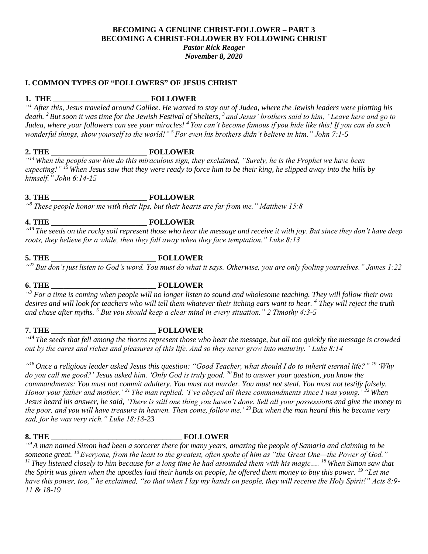## **BECOMING A GENUINE CHRIST-FOLLOWER – PART 3 BECOMING A CHRIST-FOLLOWER BY FOLLOWING CHRIST** *Pastor Rick Reager November 8, 2020*

## **I. COMMON TYPES OF "FOLLOWERS" OF JESUS CHRIST**

## **1. THE \_\_\_\_\_\_\_\_\_\_\_\_\_\_\_\_\_\_\_\_\_\_\_\_\_ FOLLOWER**

*" <sup>1</sup> After this, Jesus traveled around Galilee. He wanted to stay out of Judea, where the Jewish leaders were plotting his death. <sup>2</sup>But soon it was time for the Jewish Festival of Shelters, <sup>3</sup> and Jesus' brothers said to him, "Leave here and go to Judea, where your followers can see your miracles! <sup>4</sup> You can't become famous if you hide like this! If you can do such wonderful things, show yourself to the world!" <sup>5</sup> For even his brothers didn't believe in him." John 7:1-5*

## **2. THE \_\_\_\_\_\_\_\_\_\_\_\_\_\_\_\_\_\_\_\_\_\_\_\_\_ FOLLOWER**

*" <sup>14</sup> When the people saw him do this miraculous sign, they exclaimed, "Surely, he is the Prophet we have been expecting!" <sup>15</sup> When Jesus saw that they were ready to force him to be their king, he slipped away into the hills by himself." John 6:14-15*

## **3. THE \_\_\_\_\_\_\_\_\_\_\_\_\_\_\_\_\_\_\_\_\_\_\_\_\_ FOLLOWER**

*" <sup>8</sup> These people honor me with their lips, but their hearts are far from me." Matthew 15:8*

# **4. THE \_\_\_\_\_\_\_\_\_\_\_\_\_\_\_\_\_\_\_\_\_\_\_\_\_ FOLLOWER**

<sup>43</sup> The seeds on the rocky soil represent those who hear the message and receive it with joy. But since they don't have deep *roots, they believe for a while, then they fall away when they face temptation." Luke 8:13*

## **5. THE \_\_\_\_\_\_\_\_\_\_\_\_\_\_\_\_\_\_\_\_\_\_\_\_\_ FOLLOWER**

*" <sup>22</sup> But don't just listen to God's word. You must do what it says. Otherwise, you are only fooling yourselves." James 1:22*

# **6. THE \_\_\_\_\_\_\_\_\_\_\_\_\_\_\_\_\_\_\_\_\_\_\_\_\_ FOLLOWER**

*" <sup>3</sup> For a time is coming when people will no longer listen to sound and wholesome teaching. They will follow their own desires and will look for teachers who will tell them whatever their itching ears want to hear. <sup>4</sup> They will reject the truth and chase after myths. <sup>5</sup> But you should keep a clear mind in every situation." 2 Timothy 4:3-5*

## **7. THE \_\_\_\_\_\_\_\_\_\_\_\_\_\_\_\_\_\_\_\_\_\_\_\_\_ FOLLOWER**

<sup>44</sup> The seeds that fell among the thorns represent those who hear the message, but all too quickly the message is crowded *out by the cares and riches and pleasures of this life. And so they never grow into maturity." Luke 8:14*

*" <sup>18</sup> Once a religious leader asked Jesus this question: "Good Teacher, what should I do to inherit eternal life?" <sup>19</sup> 'Why do you call me good?' Jesus asked him. 'Only God is truly good. <sup>20</sup> But to answer your question, you know the commandments: You must not commit adultery. You must not murder. You must not steal. You must not testify falsely. Honor your father and mother.' <sup>21</sup> The man replied, 'I've obeyed all these commandments since I was young.' <sup>22</sup> When Jesus heard his answer, he said, 'There is still one thing you haven't done. Sell all your possessions and give the money to the poor, and you will have treasure in heaven. Then come, follow me.' <sup>23</sup> But when the man heard this he became very sad, for he was very rich." Luke 18:18-23*

### **8. THE \_\_\_\_\_\_\_\_\_\_\_\_\_\_\_\_\_\_\_\_\_\_\_\_\_\_\_\_\_\_\_\_\_\_ FOLLOWER**

*" <sup>9</sup> A man named Simon had been a sorcerer there for many years, amazing the people of Samaria and claiming to be someone great. <sup>10</sup> Everyone, from the least to the greatest, often spoke of him as "the Great One—the Power of God." <sup>11</sup> They listened closely to him because for a long time he had astounded them with his magic…. <sup>18</sup> When Simon saw that the Spirit was given when the apostles laid their hands on people, he offered them money to buy this power. <sup>19</sup> "Let me have this power, too," he exclaimed, "so that when I lay my hands on people, they will receive the Holy Spirit!" Acts 8:9- 11 & 18-19*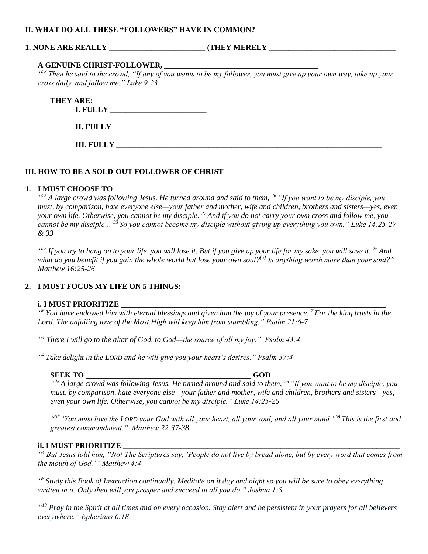### **II. WHAT DO ALL THESE "FOLLOWERS" HAVE IN COMMON?**

## **1. NONE ARE REALLY**  $\qquad \qquad$  **(THEY MERELY**

## **A GENUINE CHRIST-FOLLOWER, \_\_\_\_\_\_\_\_\_\_\_\_\_\_\_\_\_\_\_\_\_\_\_\_\_\_\_\_\_\_\_\_\_\_\_\_\_\_\_\_**

<sup>423</sup> Then he said to the crowd, "If any of you wants to be my follower, you must give up your own way, take up your *cross daily, and follow me." Luke 9:23*

| THEY ARE:<br><b>I. FULLY</b> |  |
|------------------------------|--|
| <b>II. FULLY</b>             |  |
|                              |  |

## **III. HOW TO BE A SOLD-OUT FOLLOWER OF CHRIST**

**III. FULLY** 

## 1. **I MUST CHOOSE TO**

*" <sup>25</sup> A large crowd was following Jesus. He turned around and said to them, <sup>26</sup> "If you want to be my disciple, you must, by comparison, hate everyone else—your father and mother, wife and children, brothers and sisters—yes, even your own life. Otherwise, you cannot be my disciple. <sup>27</sup> And if you do not carry your own cross and follow me, you cannot be my disciple… <sup>33</sup> So you cannot become my disciple without giving up everything you own." Luke 14:25-27 & 33*

*" <sup>25</sup> If you try to hang on to your life, you will lose it. But if you give up your life for my sake, you will save it. <sup>26</sup> And*  what do you benefit if you gain the whole world but lose your own soul?<sup>[\[a\]](https://www.biblegateway.com/passage/?search=Matthew%2016%3A25-26&version=NLT#fen-NLT-23675a)</sup> Is anything worth more than your soul?" *Matthew 16:25-26*

## **2. I MUST FOCUS MY LIFE ON 5 THINGS:**

## **i. I MUST PRIORITIZE \_\_\_\_\_\_\_\_\_\_\_\_\_\_\_\_\_\_\_\_\_\_\_\_\_\_\_\_\_\_\_\_\_\_\_\_\_\_\_\_\_\_\_\_\_\_\_\_\_\_\_\_\_\_\_\_\_\_\_\_\_\_\_\_\_\_\_\_\_**

*" <sup>6</sup> You have endowed him with eternal blessings and given him the joy of your presence. <sup>7</sup> For the king trusts in the Lord. The unfailing love of the Most High will keep him from stumbling." Psalm 21:6-7*

*" <sup>4</sup> There I will go to the altar of God, to God—the source of all my joy." Psalm 43:4*

*" <sup>4</sup> Take delight in the LORD and he will give you your heart's desires." Psalm 37:4*

## **SEEK TO \_\_\_\_\_\_\_\_\_\_\_\_\_\_\_\_\_\_\_\_\_\_\_\_\_\_\_\_\_\_\_\_\_\_\_\_\_\_\_\_\_\_\_ GOD**

*" <sup>25</sup> A large crowd was following Jesus. He turned around and said to them, <sup>26</sup> "If you want to be my disciple, you must, by comparison, hate everyone else—your father and mother, wife and children, brothers and sisters—yes, even your own life. Otherwise, you cannot be my disciple." Luke 14:25-26*

*" <sup>37</sup> 'You must love the LORD your God with all your heart, all your soul, and all your mind.' <sup>38</sup> This is the first and greatest commandment." Matthew 22:37-38*

### **ii. I MUST PRIORITIZE \_\_\_\_\_\_\_\_\_\_\_\_\_\_\_\_\_\_\_\_\_\_\_\_\_\_\_\_\_\_\_\_\_\_\_\_\_\_\_\_\_\_\_\_\_\_\_\_\_\_\_\_\_\_\_\_\_\_\_\_\_\_\_\_\_\_\_\_\_\_\_\_**

*" <sup>4</sup> But Jesus told him, "No! The Scriptures say, 'People do not live by bread alone, but by every word that comes from the mouth of God.'" Matthew 4:4*

*" 8 Study this Book of Instruction continually. Meditate on it day and night so you will be sure to obey everything written in it. Only then will you prosper and succeed in all you do." Joshua 1:8*

*" <sup>18</sup> Pray in the Spirit at all times and on every occasion. Stay alert and be persistent in your prayers for all believers everywhere." Ephesians 6:18*